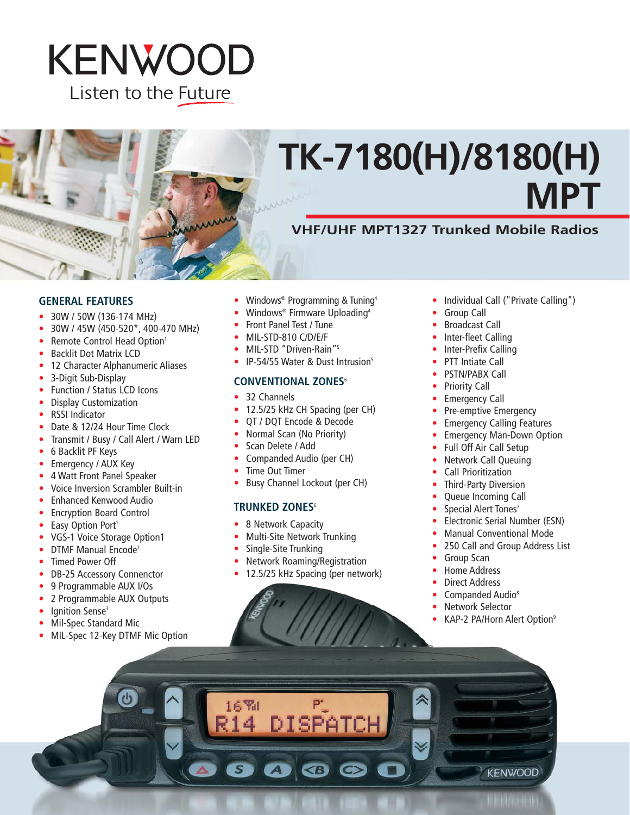## KENWOOD Listen to the Future

# **TK-7180(H)/8180(H) MPT**

## **VHF/UHF MPT1327 Trunked Mobile Radios**

#### **GENERAL FEATURES**

- 30W / 50W (136-174 MHz)
- 30W / 45W (450-520\*, 400-470 MHz)
- Remote Control Head Option<sup>1</sup>
- Backlit Dot Matrix LCD
- 12 Character Alphanumeric Aliases
- 3-Digit Sub-Display
- Function / Status LCD Icons
- Display Customization
- RSSI Indicator
- Date & 12/24 Hour Time Clock
- Transmit / Busy / Call Alert / Warn LED
- 6 Backlit PF Keys
- Emergency / AUX Key
- 4 Watt Front Panel Speaker
- Voice Inversion Scrambler Built-in
- Enhanced Kenwood Audio
- Encryption Board Control
- Easy Option Port<sup>1</sup>
- VGS-1 Voice Storage Option1
- DTMF Manual Encode<sup>2</sup>
- Timed Power Off
- DB-25 Accessory Connenctor
- 9 Programmable AUX I/Os
- 2 Programmable AUX Outputs
- Ignition Sense<sup>3</sup>
- Mil-Spec Standard Mic
- MIL-Spec 12-Key DTMF Mic Option
- Windows<sup>®</sup> Programming & Tuning<sup>4</sup>
- Windows<sup>®</sup> Firmware Uploading<sup>4</sup>
- Front Panel Test / Tune
- MIL-STD-810 C/D/E/F
- MIL-STD "Driven-Rain"<sup>5</sup>
- IP-54/55 Water & Dust Intrusion<sup>5</sup>

#### **CONVENTIONAL ZONES**<sup>6</sup>

- 32 Channels
- 12.5/25 kHz CH Spacing (per CH)
- QT / DQT Encode & Decode
- Normal Scan (No Priority)
- Scan Delete / Add
- Companded Audio (per CH)
- Time Out Timer
- Busy Channel Lockout (per CH)

#### **TRUNKED ZONES**<sup>6</sup>

- 8 Network Capacity
- Multi-Site Network Trunking
- Single-Site Trunking
- Network Roaming/Registration
- 12.5/25 kHz Spacing (per network)
- Individual Call ("Private Calling")
- **Group Call**
- Broadcast Call
- Inter-fleet Calling
- Inter-Prefix Calling
- PTT Intiate Call
- PSTN/PABX Call
- Priority Call
- **Emergency Call**
- Pre-emptive Emergency
- Emergency Calling Features
- Emergency Man-Down Option
- Full Off Air Call Setup
- Network Call Queuing
- Call Prioritization
- **Third-Party Diversion**
- Queue Incoming Call
- Special Alert Tones<sup>7</sup>
- Electronic Serial Number (ESN)
- Manual Conventional Mode
- 250 Call and Group Address List
- Group Scan
- Home Address
- Direct Address
- Companded Audio<sup>8</sup>
- Network Selector
- KAP-2 PA/Horn Alert Option<sup>9</sup>